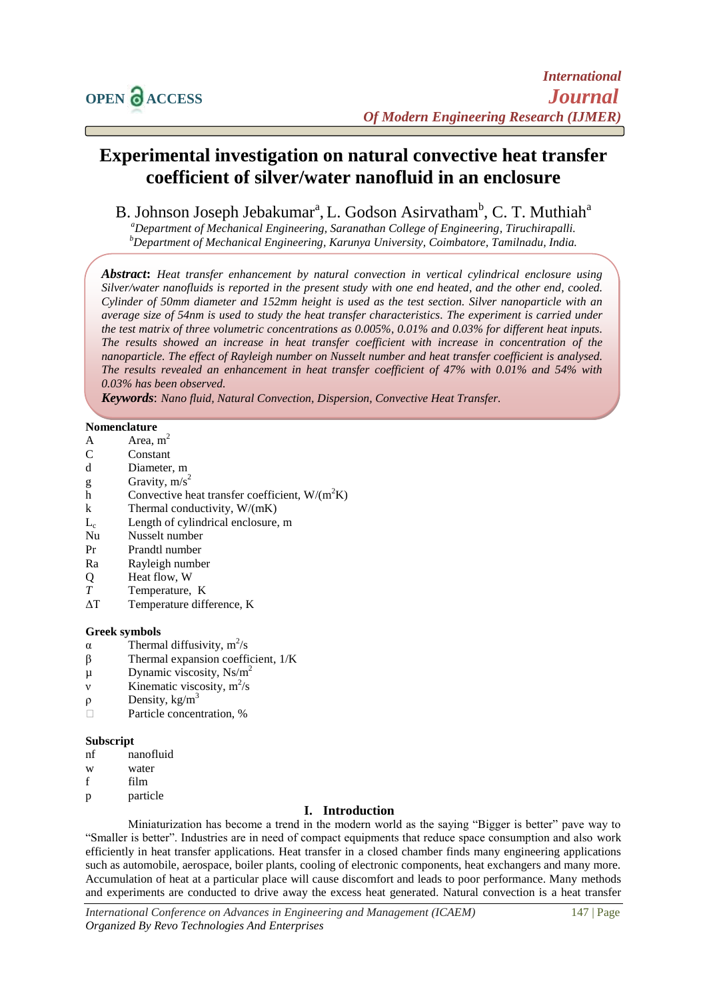# **Experimental investigation on natural convective heat transfer coefficient of silver/water nanofluid in an enclosure**

B. Johnson Joseph Jebakumar<sup>a</sup>, L. Godson Asirvatham<sup>b</sup>, C. T. Muthiah<sup>a</sup>

*<sup>a</sup>Department of Mechanical Engineering, Saranathan College of Engineering, Tiruchirapalli. <sup>b</sup>Department of Mechanical Engineering, Karunya University, Coimbatore, Tamilnadu, India.*

*Abstract***:** *Heat transfer enhancement by natural convection in vertical cylindrical enclosure using Silver/water nanofluids is reported in the present study with one end heated, and the other end, cooled. Cylinder of 50mm diameter and 152mm height is used as the test section. Silver nanoparticle with an average size of 54nm is used to study the heat transfer characteristics. The experiment is carried under the test matrix of three volumetric concentrations as 0.005%, 0.01% and 0.03% for different heat inputs. The results showed an increase in heat transfer coefficient with increase in concentration of the nanoparticle. The effect of Rayleigh number on Nusselt number and heat transfer coefficient is analysed. The results revealed an enhancement in heat transfer coefficient of 47% with 0.01% and 54% with 0.03% has been observed.*

*Keywords*: *Nano fluid, Natural Convection, Dispersion, Convective Heat Transfer.*

## **Nomenclature**

- A  $Area, m<sup>2</sup>$
- C Constant
- d Diameter, m
- g Gravity,  $m/s^2$
- h Convective heat transfer coefficient,  $W/(m^2K)$
- k Thermal conductivity,  $W/(mK)$
- $L_c$  Length of cylindrical enclosure, m
- Nu Nusselt number
- Pr Prandtl number
- Ra Rayleigh number
- Q Heat flow, W
- *T* Temperature, K
- ΔT Temperature difference, K

## **Greek symbols**

- $α$  Thermal diffusivity, m<sup>2</sup>/s
- β Thermal expansion coefficient, 1/K
- $\mu$  Dynamic viscosity, Ns/m<sup>2</sup>
- $v$  Kinematic viscosity,  $m^2/s$
- ρ Density, kg/m<sup>3</sup>
- □ Particle concentration, %

## **Subscript**

- nf nanofluid
- w water
- f film
- p particle

## **I. Introduction**

Miniaturization has become a trend in the modern world as the saying "Bigger is better" pave way to "Smaller is better". Industries are in need of compact equipments that reduce space consumption and also work efficiently in heat transfer applications. Heat transfer in a closed chamber finds many engineering applications such as automobile, aerospace, boiler plants, cooling of electronic components, heat exchangers and many more. Accumulation of heat at a particular place will cause discomfort and leads to poor performance. Many methods and experiments are conducted to drive away the excess heat generated. Natural convection is a heat transfer

*International Conference on Advances in Engineering and Management (ICAEM)* 147 | Page *Organized By Revo Technologies And Enterprises*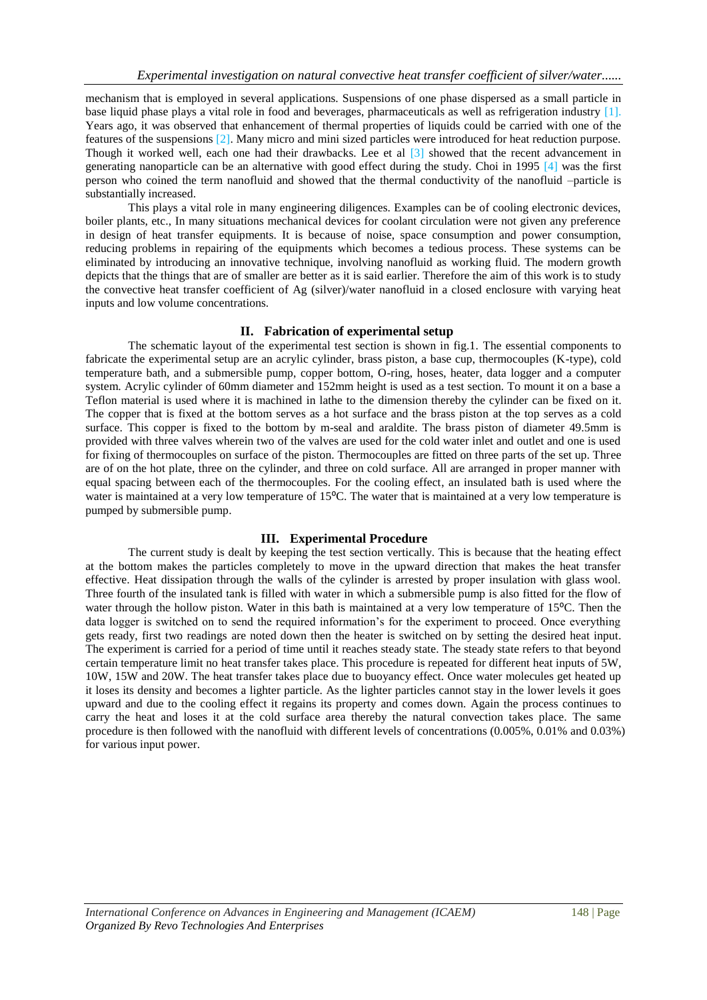mechanism that is employed in several applications. Suspensions of one phase dispersed as a small particle in base liquid phase plays a vital role in food and beverages, pharmaceuticals as well as refrigeration industry [1]. Years ago, it was observed that enhancement of thermal properties of liquids could be carried with one of the features of the suspensions [2]. Many micro and mini sized particles were introduced for heat reduction purpose. Though it worked well, each one had their drawbacks. Lee et al [3] showed that the recent advancement in generating nanoparticle can be an alternative with good effect during the study. Choi in 1995 [4] was the first person who coined the term nanofluid and showed that the thermal conductivity of the nanofluid –particle is substantially increased.

This plays a vital role in many engineering diligences. Examples can be of cooling electronic devices, boiler plants, etc., In many situations mechanical devices for coolant circulation were not given any preference in design of heat transfer equipments. It is because of noise, space consumption and power consumption, reducing problems in repairing of the equipments which becomes a tedious process. These systems can be eliminated by introducing an innovative technique, involving nanofluid as working fluid. The modern growth depicts that the things that are of smaller are better as it is said earlier. Therefore the aim of this work is to study the convective heat transfer coefficient of Ag (silver)/water nanofluid in a closed enclosure with varying heat inputs and low volume concentrations.

## **II. Fabrication of experimental setup**

The schematic layout of the experimental test section is shown in fig.1. The essential components to fabricate the experimental setup are an acrylic cylinder, brass piston, a base cup, thermocouples (K-type), cold temperature bath, and a submersible pump, copper bottom, O-ring, hoses, heater, data logger and a computer system. Acrylic cylinder of 60mm diameter and 152mm height is used as a test section. To mount it on a base a Teflon material is used where it is machined in lathe to the dimension thereby the cylinder can be fixed on it. The copper that is fixed at the bottom serves as a hot surface and the brass piston at the top serves as a cold surface. This copper is fixed to the bottom by m-seal and araldite. The brass piston of diameter 49.5mm is provided with three valves wherein two of the valves are used for the cold water inlet and outlet and one is used for fixing of thermocouples on surface of the piston. Thermocouples are fitted on three parts of the set up. Three are of on the hot plate, three on the cylinder, and three on cold surface. All are arranged in proper manner with equal spacing between each of the thermocouples. For the cooling effect, an insulated bath is used where the water is maintained at a very low temperature of 15<sup>o</sup>C. The water that is maintained at a very low temperature is pumped by submersible pump.

#### **III. Experimental Procedure**

The current study is dealt by keeping the test section vertically. This is because that the heating effect at the bottom makes the particles completely to move in the upward direction that makes the heat transfer effective. Heat dissipation through the walls of the cylinder is arrested by proper insulation with glass wool. Three fourth of the insulated tank is filled with water in which a submersible pump is also fitted for the flow of water through the hollow piston. Water in this bath is maintained at a very low temperature of 15<sup>o</sup>C. Then the data logger is switched on to send the required information's for the experiment to proceed. Once everything gets ready, first two readings are noted down then the heater is switched on by setting the desired heat input. The experiment is carried for a period of time until it reaches steady state. The steady state refers to that beyond certain temperature limit no heat transfer takes place. This procedure is repeated for different heat inputs of 5W, 10W, 15W and 20W. The heat transfer takes place due to buoyancy effect. Once water molecules get heated up it loses its density and becomes a lighter particle. As the lighter particles cannot stay in the lower levels it goes upward and due to the cooling effect it regains its property and comes down. Again the process continues to carry the heat and loses it at the cold surface area thereby the natural convection takes place. The same procedure is then followed with the nanofluid with different levels of concentrations (0.005%, 0.01% and 0.03%) for various input power.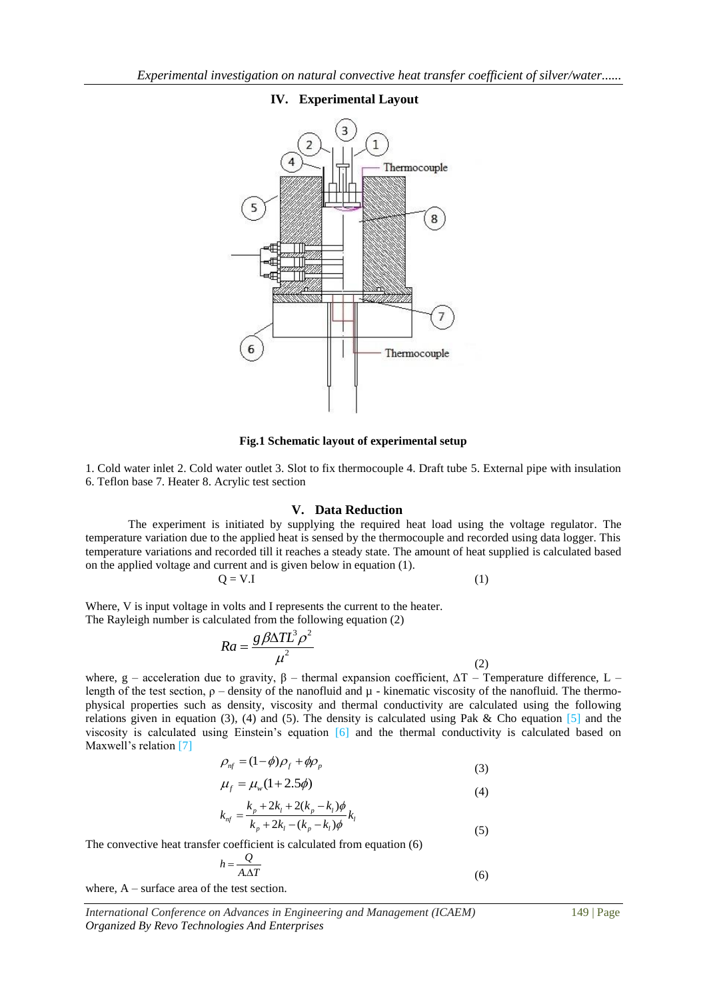## **IV. Experimental Layout**



## **Fig.1 Schematic layout of experimental setup**

1. Cold water inlet 2. Cold water outlet 3. Slot to fix thermocouple 4. Draft tube 5. External pipe with insulation 6. Teflon base 7. Heater 8. Acrylic test section

#### **V. Data Reduction**

The experiment is initiated by supplying the required heat load using the voltage regulator. The temperature variation due to the applied heat is sensed by the thermocouple and recorded using data logger. This temperature variations and recorded till it reaches a steady state. The amount of heat supplied is calculated based on the applied voltage and current and is given below in equation (1).

$$
Q = V.I
$$
 (1)

Where, V is input voltage in volts and I represents the current to the heater. The Rayleigh number is calculated from the following equation (2)

$$
Ra = \frac{g\beta\Delta T L^3 \rho^2}{\mu^2}
$$
 (2)

where, g – acceleration due to gravity,  $\beta$  – thermal expansion coefficient,  $\Delta T$  – Temperature difference, L – length of the test section,  $\rho$  – density of the nanofluid and  $\mu$  - kinematic viscosity of the nanofluid. The thermophysical properties such as density, viscosity and thermal conductivity are calculated using the following relations given in equation (3), (4) and (5). The density is calculated using Pak & Cho equation  $[5]$  and the viscosity is calculated using Einstein's equation [6] and the thermal conductivity is calculated based on Maxwell's relation [7]

$$
\rho_{nf} = (1 - \phi)\rho_f + \phi\rho_p \tag{3}
$$

$$
\mu_f = \mu_w (1 + 2.5\phi)
$$

(4)  

$$
k_{nf} = \frac{k_p + 2k_l + 2(k_p - k_l)\phi}{k_p + 2k_l - (k_p - k_l)\phi} k_l
$$

(4)

(6)

The convective heat transfer coefficient is calculated from equation (6)

$$
h = \frac{Q}{A.\Delta T}
$$

where, A – surface area of the test section.

*International Conference on Advances in Engineering and Management (ICAEM)* 149 | Page *Organized By Revo Technologies And Enterprises*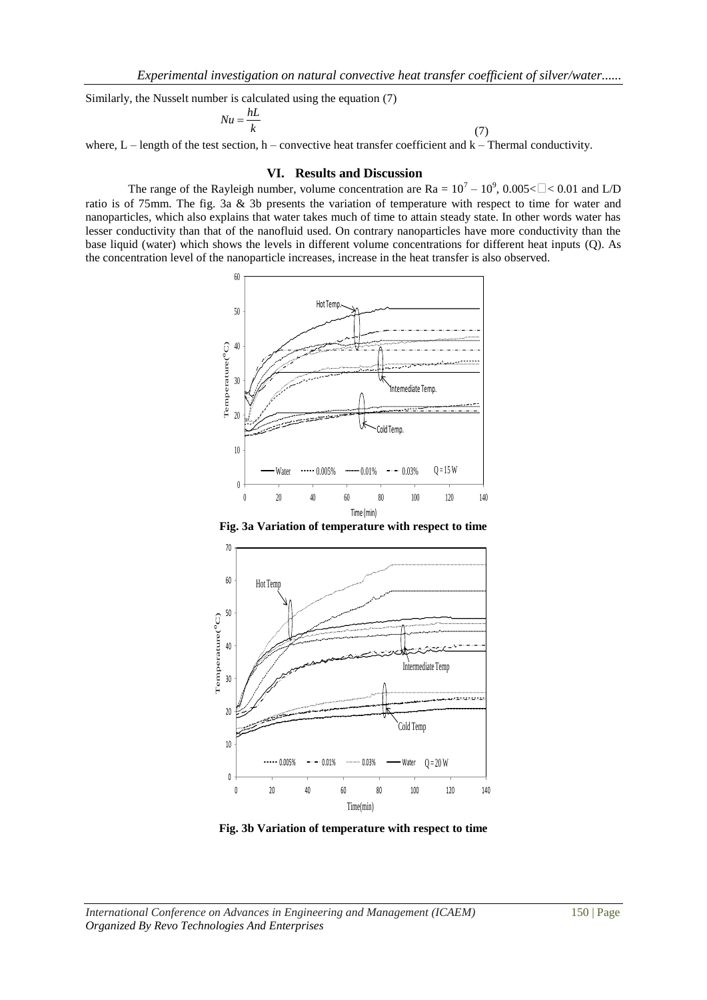Similarly, the Nusselt number is calculated using the equation (7)

$$
Nu = \frac{hL}{k} \tag{7}
$$

where,  $L$  – length of the test section, h – convective heat transfer coefficient and  $k$  – Thermal conductivity.

#### **VI. Results and Discussion**

The range of the Rayleigh number, volume concentration are  $Ra = 10^7 - 10^9$ , 0.005< $\Box$  < 0.01 and L/D ratio is of 75mm. The fig. 3a & 3b presents the variation of temperature with respect to time for water and nanoparticles, which also explains that water takes much of time to attain steady state. In other words water has lesser conductivity than that of the nanofluid used. On contrary nanoparticles have more conductivity than the base liquid (water) which shows the levels in different volume concentrations for different heat inputs (Q). As the concentration level of the nanoparticle increases, increase in the heat transfer is also observed.





**Fig. 3b Variation of temperature with respect to time**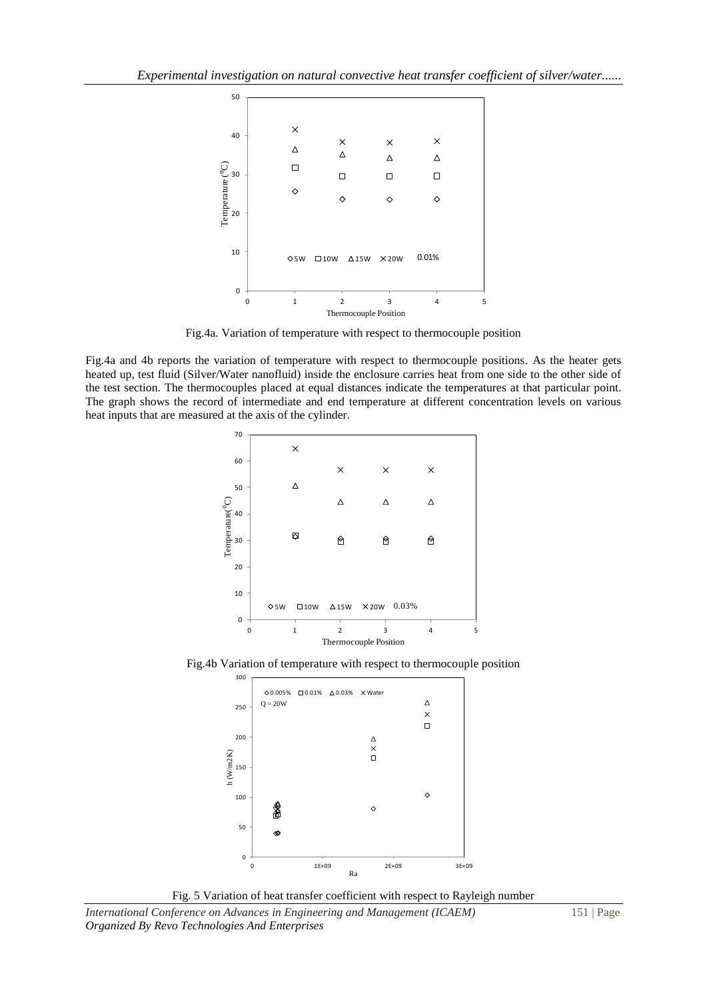

Fig.4a. Variation of temperature with respect to thermocouple position

Fig.4a and 4b reports the variation of temperature with respect to thermocouple positions. As the heater gets heated up, test fluid (Silver/Water nanofluid) inside the enclosure carries heat from one side to the other side of the test section. The thermocouples placed at equal distances indicate the temperatures at that particular point. The graph shows the record of intermediate and end temperature at different concentration levels on various heat inputs that are measured at the axis of the cylinder.



Fig.4b Variation of temperature with respect to thermocouple position





*International Conference on Advances in Engineering and Management (ICAEM)* 151 | Page *Organized By Revo Technologies And Enterprises*